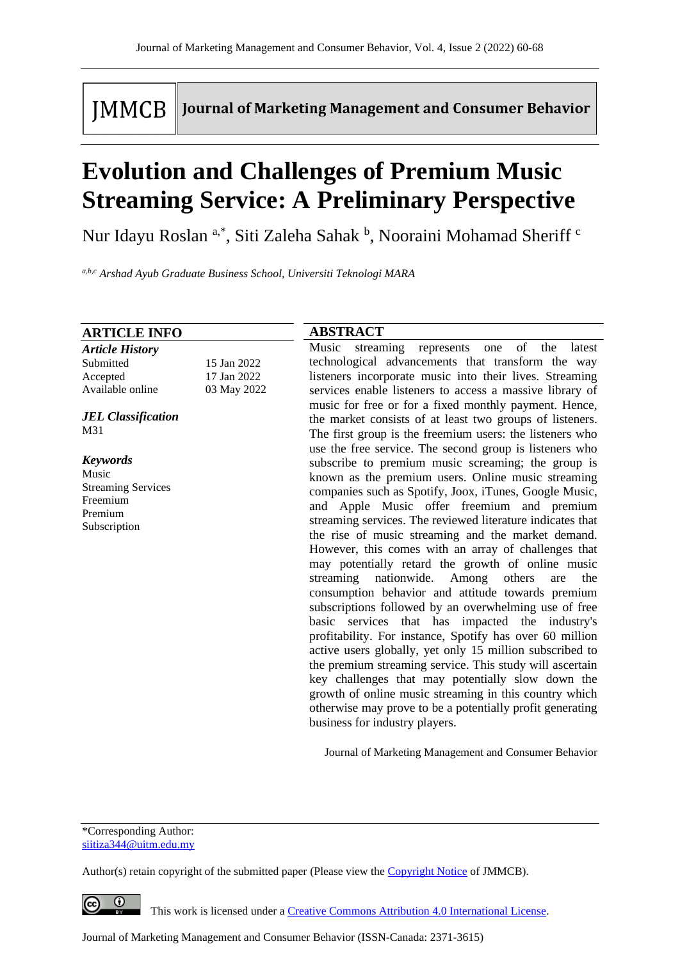# **IMMCB**

**Journal of Marketing Management and Consumer Behavior** 

# **Evolution and Challenges of Premium Music Streaming Service: A Preliminary Perspective**

Nur Idayu Roslan <sup>a,\*</sup>, Siti Zaleha Sahak <sup>b</sup>, Nooraini Mohamad Sheriff <sup>c</sup>

*a,b,c Arshad Ayub Graduate Business School, Universiti Teknologi MARA*

#### **ABSTRACT** Music streaming represents one of the latest technological advancements that transform the way listeners incorporate music into their lives. Streaming services enable listeners to access a massive library of music for free or for a fixed monthly payment. Hence, the market consists of at least two groups of listeners. The first group is the freemium users: the listeners who use the free service. The second group is listeners who subscribe to premium music screaming; the group is known as the premium users. Online music streaming companies such as Spotify, Joox, iTunes, Google Music, and Apple Music offer freemium and premium streaming services. The reviewed literature indicates that the rise of music streaming and the market demand. However, this comes with an array of challenges that may potentially retard the growth of online music streaming nationwide. Among others are the consumption behavior and attitude towards premium subscriptions followed by an overwhelming use of free basic services that has impacted the industry's profitability. For instance, Spotify has over 60 million active users globally, yet only 15 million subscribed to the premium streaming service. This study will ascertain key challenges that may potentially slow down the growth of online music streaming in this country which otherwise may prove to be a potentially profit generating business for industry players. **ARTICLE INFO** *Article History* Submitted 15 Jan 2022 Accepted 17 Jan 2022 Available online 03 May 2022 *JEL Classification* M31 *Keywords* Music Streaming Services Freemium Premium Subscription

Journal of Marketing Management and Consumer Behavior

\*Corresponding Author: siitiza344@uitm.edu.my

Author(s) retain copyright of the submitted paper (Please view th[e Copyright Notice](http://www.journal-of-marketing-management-and-consumer-behavior.com/index.php/JMMCB/about/submissions#copyrightNotice) of JMMCB).

 $\bullet$ 

This work is licensed under a [Creative Commons Attribution 4.0 International License.](http://creativecommons.org/licenses/by/4.0/)

Journal of Marketing Management and Consumer Behavior (ISSN-Canada: 2371-3615)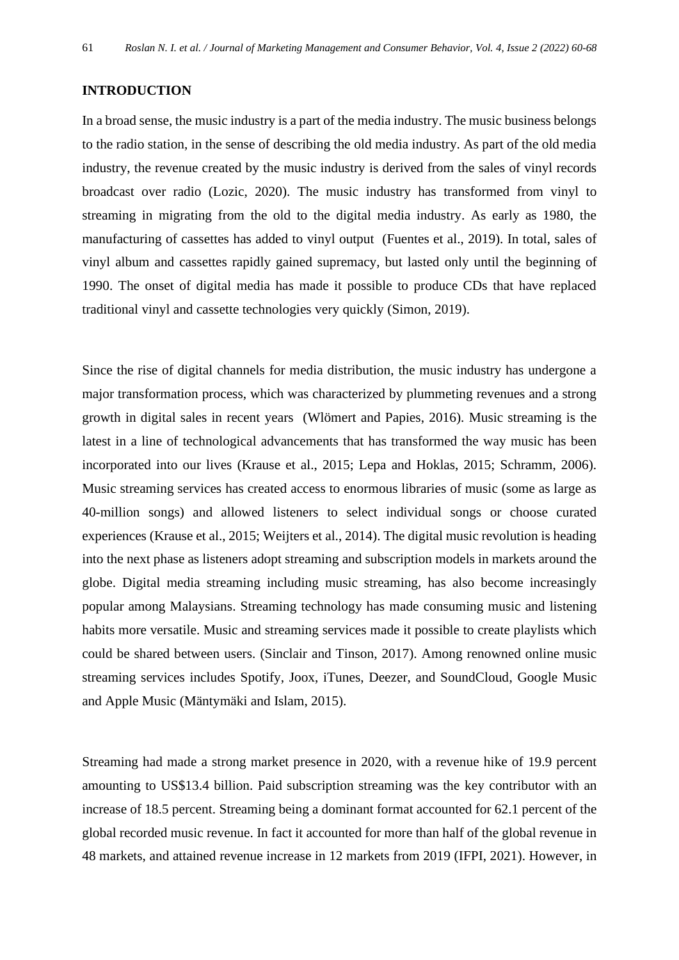### **INTRODUCTION**

In a broad sense, the music industry is a part of the media industry. The music business belongs to the radio station, in the sense of describing the old media industry. As part of the old media industry, the revenue created by the music industry is derived from the sales of vinyl records broadcast over radio (Lozic, 2020). The music industry has transformed from vinyl to streaming in migrating from the old to the digital media industry. As early as 1980, the manufacturing of cassettes has added to vinyl output (Fuentes et al., 2019). In total, sales of vinyl album and cassettes rapidly gained supremacy, but lasted only until the beginning of 1990. The onset of digital media has made it possible to produce CDs that have replaced traditional vinyl and cassette technologies very quickly (Simon, 2019).

Since the rise of digital channels for media distribution, the music industry has undergone a major transformation process, which was characterized by plummeting revenues and a strong growth in digital sales in recent years (Wlömert and Papies, 2016). Music streaming is the latest in a line of technological advancements that has transformed the way music has been incorporated into our lives (Krause et al., 2015; Lepa and Hoklas, 2015; Schramm, 2006). Music streaming services has created access to enormous libraries of music (some as large as 40-million songs) and allowed listeners to select individual songs or choose curated experiences (Krause et al., 2015; Weijters et al., 2014). The digital music revolution is heading into the next phase as listeners adopt streaming and subscription models in markets around the globe. Digital media streaming including music streaming, has also become increasingly popular among Malaysians. Streaming technology has made consuming music and listening habits more versatile. Music and streaming services made it possible to create playlists which could be shared between users. (Sinclair and Tinson, 2017). Among renowned online music streaming services includes Spotify, Joox, iTunes, Deezer, and SoundCloud, Google Music and Apple Music (Mäntymäki and Islam, 2015).

Streaming had made a strong market presence in 2020, with a revenue hike of 19.9 percent amounting to US\$13.4 billion. Paid subscription streaming was the key contributor with an increase of 18.5 percent. Streaming being a dominant format accounted for 62.1 percent of the global recorded music revenue. In fact it accounted for more than half of the global revenue in 48 markets, and attained revenue increase in 12 markets from 2019 (IFPI, 2021). However, in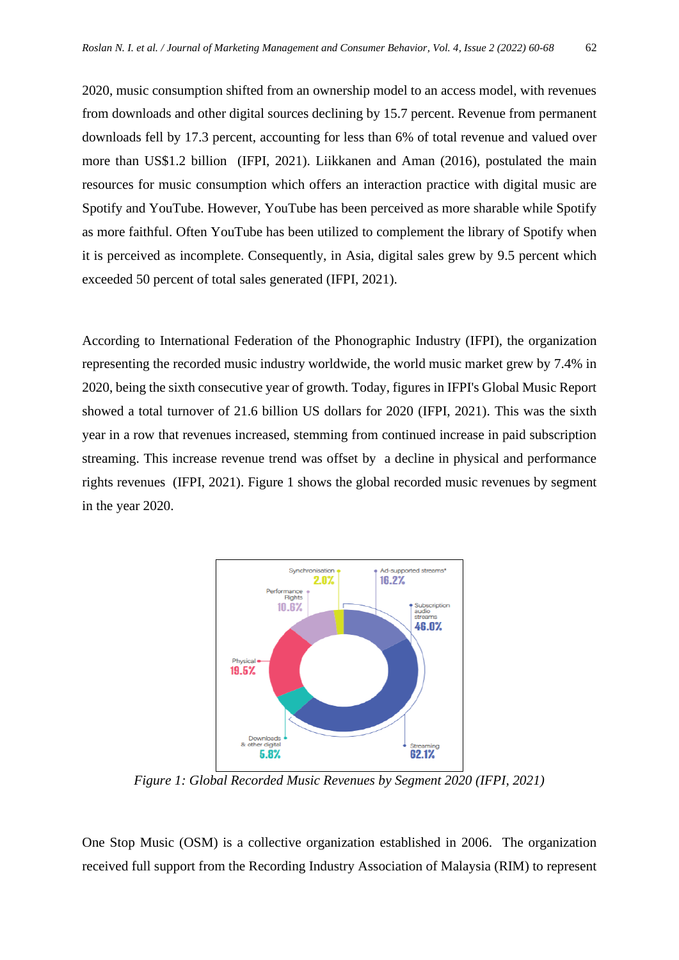2020, music consumption shifted from an ownership model to an access model, with revenues from downloads and other digital sources declining by 15.7 percent. Revenue from permanent downloads fell by 17.3 percent, accounting for less than 6% of total revenue and valued over more than US\$1.2 billion (IFPI, 2021). Liikkanen and Aman (2016), postulated the main resources for music consumption which offers an interaction practice with digital music are Spotify and YouTube. However, YouTube has been perceived as more sharable while Spotify as more faithful. Often YouTube has been utilized to complement the library of Spotify when it is perceived as incomplete. Consequently, in Asia, digital sales grew by 9.5 percent which exceeded 50 percent of total sales generated (IFPI, 2021).

According to International Federation of the Phonographic Industry (IFPI), the organization representing the recorded music industry worldwide, the world music market grew by 7.4% in 2020, being the sixth consecutive year of growth. Today, figures in IFPI's Global Music Report showed a total turnover of 21.6 billion US dollars for 2020 (IFPI, 2021). This was the sixth year in a row that revenues increased, stemming from continued increase in paid subscription streaming. This increase revenue trend was offset by a decline in physical and performance rights revenues (IFPI, 2021). Figure 1 shows the global recorded music revenues by segment in the year 2020.



*Figure 1: Global Recorded Music Revenues by Segment 2020 (IFPI, 2021)*

One Stop Music (OSM) is a collective organization established in 2006. The organization received full support from the Recording Industry Association of Malaysia (RIM) to represent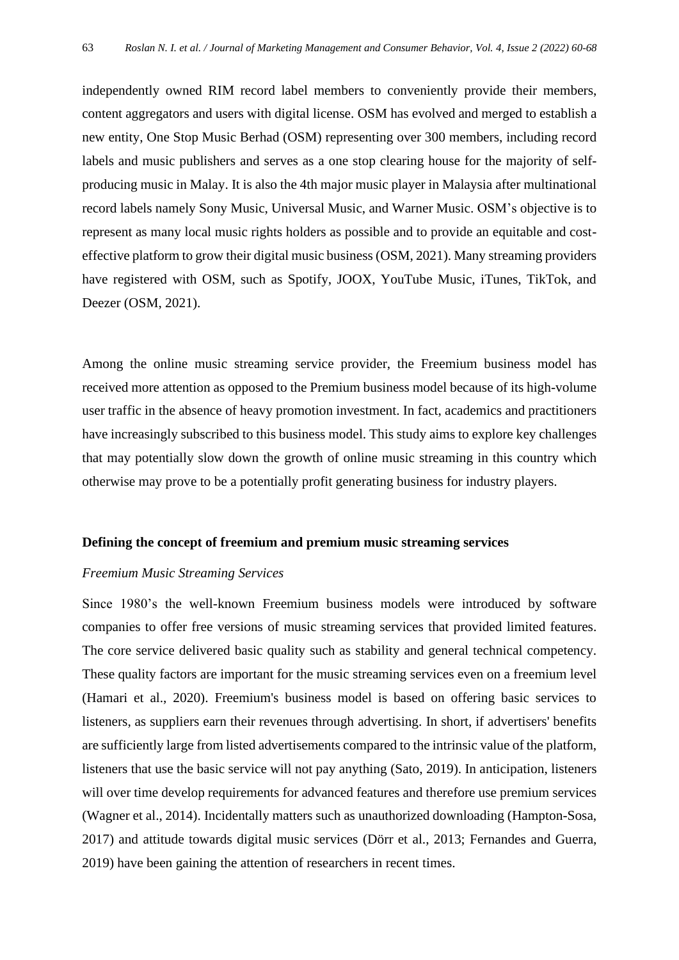independently owned RIM record label members to conveniently provide their members, content aggregators and users with digital license. OSM has evolved and merged to establish a new entity, One Stop Music Berhad (OSM) representing over 300 members, including record labels and music publishers and serves as a one stop clearing house for the majority of selfproducing music in Malay. It is also the 4th major music player in Malaysia after multinational record labels namely Sony Music, Universal Music, and Warner Music. OSM's objective is to represent as many local music rights holders as possible and to provide an equitable and costeffective platform to grow their digital music business (OSM, 2021). Many streaming providers have registered with OSM, such as Spotify, JOOX, YouTube Music, iTunes, TikTok, and Deezer (OSM, 2021).

Among the online music streaming service provider, the Freemium business model has received more attention as opposed to the Premium business model because of its high-volume user traffic in the absence of heavy promotion investment. In fact, academics and practitioners have increasingly subscribed to this business model. This study aims to explore key challenges that may potentially slow down the growth of online music streaming in this country which otherwise may prove to be a potentially profit generating business for industry players.

# **Defining the concept of freemium and premium music streaming services**

### *Freemium Music Streaming Services*

Since 1980's the well-known Freemium business models were introduced by software companies to offer free versions of music streaming services that provided limited features. The core service delivered basic quality such as stability and general technical competency. These quality factors are important for the music streaming services even on a freemium level (Hamari et al., 2020). Freemium's business model is based on offering basic services to listeners, as suppliers earn their revenues through advertising. In short, if advertisers' benefits are sufficiently large from listed advertisements compared to the intrinsic value of the platform, listeners that use the basic service will not pay anything (Sato, 2019). In anticipation, listeners will over time develop requirements for advanced features and therefore use premium services (Wagner et al., 2014). Incidentally matters such as unauthorized downloading (Hampton-Sosa, 2017) and attitude towards digital music services (Dörr et al., 2013; Fernandes and Guerra, 2019) have been gaining the attention of researchers in recent times.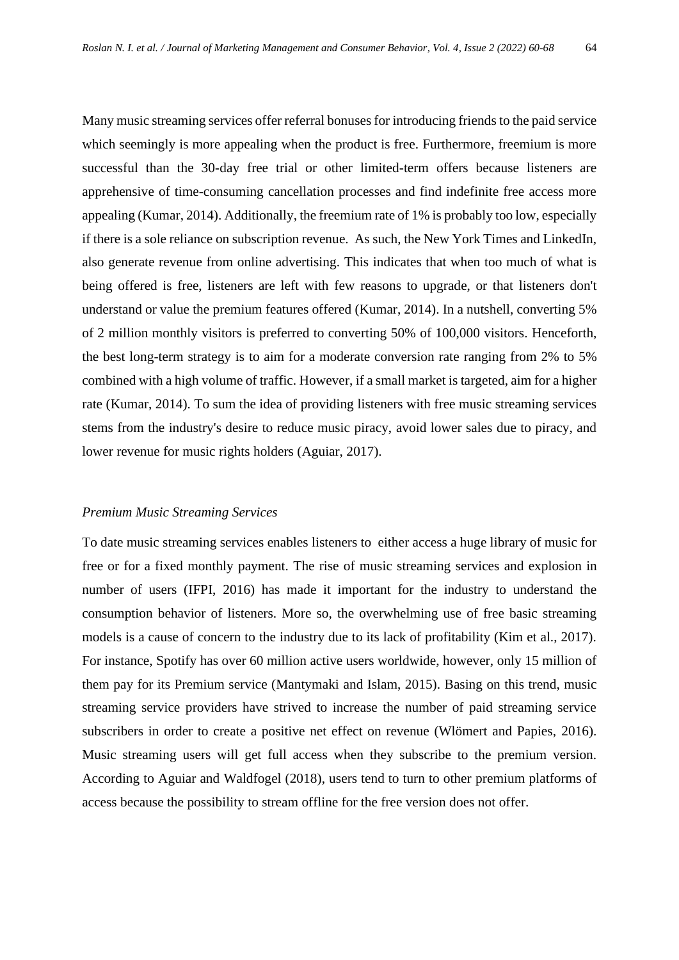Many music streaming services offer referral bonuses for introducing friends to the paid service which seemingly is more appealing when the product is free. Furthermore, freemium is more successful than the 30-day free trial or other limited-term offers because listeners are apprehensive of time-consuming cancellation processes and find indefinite free access more appealing (Kumar, 2014). Additionally, the freemium rate of 1% is probably too low, especially if there is a sole reliance on subscription revenue. As such, the New York Times and LinkedIn, also generate revenue from online advertising. This indicates that when too much of what is being offered is free, listeners are left with few reasons to upgrade, or that listeners don't understand or value the premium features offered (Kumar, 2014). In a nutshell, converting 5% of 2 million monthly visitors is preferred to converting 50% of 100,000 visitors. Henceforth, the best long-term strategy is to aim for a moderate conversion rate ranging from 2% to 5% combined with a high volume of traffic. However, if a small market is targeted, aim for a higher rate (Kumar, 2014). To sum the idea of providing listeners with free music streaming services stems from the industry's desire to reduce music piracy, avoid lower sales due to piracy, and lower revenue for music rights holders (Aguiar, 2017).

#### *Premium Music Streaming Services*

To date music streaming services enables listeners to either access a huge library of music for free or for a fixed monthly payment. The rise of music streaming services and explosion in number of users (IFPI, 2016) has made it important for the industry to understand the consumption behavior of listeners. More so, the overwhelming use of free basic streaming models is a cause of concern to the industry due to its lack of profitability (Kim et al., 2017). For instance, Spotify has over 60 million active users worldwide, however, only 15 million of them pay for its Premium service (Mantymaki and Islam, 2015). Basing on this trend, music streaming service providers have strived to increase the number of paid streaming service subscribers in order to create a positive net effect on revenue (Wlömert and Papies, 2016). Music streaming users will get full access when they subscribe to the premium version. According to Aguiar and Waldfogel (2018), users tend to turn to other premium platforms of access because the possibility to stream offline for the free version does not offer.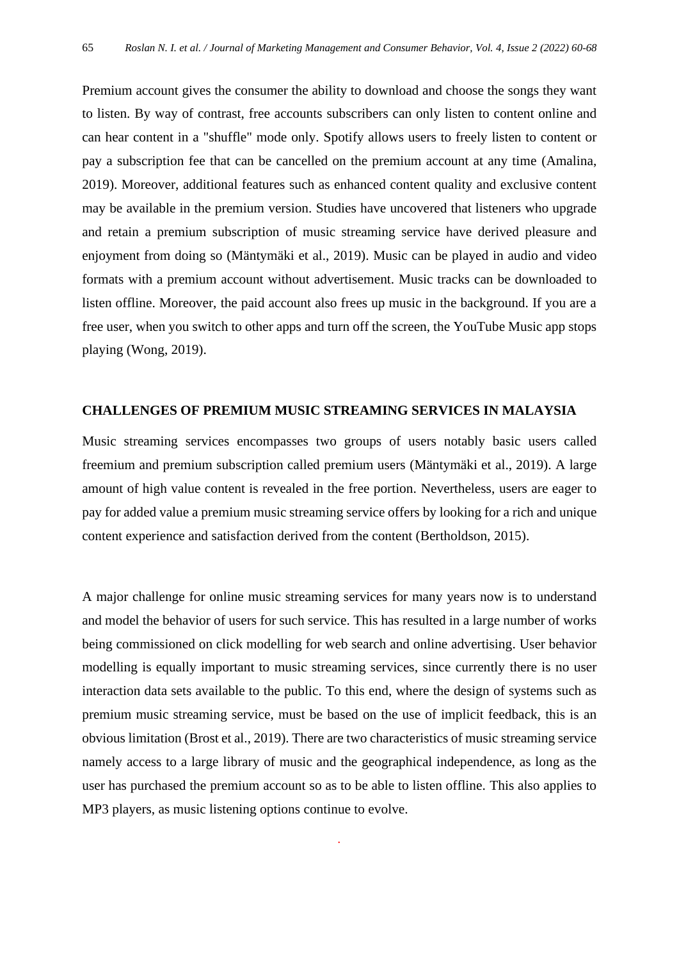Premium account gives the consumer the ability to download and choose the songs they want to listen. By way of contrast, free accounts subscribers can only listen to content online and can hear content in a "shuffle" mode only. Spotify allows users to freely listen to content or pay a subscription fee that can be cancelled on the premium account at any time (Amalina, 2019). Moreover, additional features such as enhanced content quality and exclusive content may be available in the premium version. Studies have uncovered that listeners who upgrade and retain a premium subscription of music streaming service have derived pleasure and enjoyment from doing so (Mäntymäki et al., 2019). Music can be played in audio and video formats with a premium account without advertisement. Music tracks can be downloaded to listen offline. Moreover, the paid account also frees up music in the background. If you are a free user, when you switch to other apps and turn off the screen, the YouTube Music app stops playing (Wong, 2019).

#### **CHALLENGES OF PREMIUM MUSIC STREAMING SERVICES IN MALAYSIA**

Music streaming services encompasses two groups of users notably basic users called freemium and premium subscription called premium users (Mäntymäki et al., 2019). A large amount of high value content is revealed in the free portion. Nevertheless, users are eager to pay for added value a premium music streaming service offers by looking for a rich and unique content experience and satisfaction derived from the content (Bertholdson, 2015).

A major challenge for online music streaming services for many years now is to understand and model the behavior of users for such service. This has resulted in a large number of works being commissioned on click modelling for web search and online advertising. User behavior modelling is equally important to music streaming services, since currently there is no user interaction data sets available to the public. To this end, where the design of systems such as premium music streaming service, must be based on the use of implicit feedback, this is an obvious limitation (Brost et al., 2019). There are two characteristics of music streaming service namely access to a large library of music and the geographical independence, as long as the user has purchased the premium account so as to be able to listen offline. This also applies to MP3 players, as music listening options continue to evolve.

*.*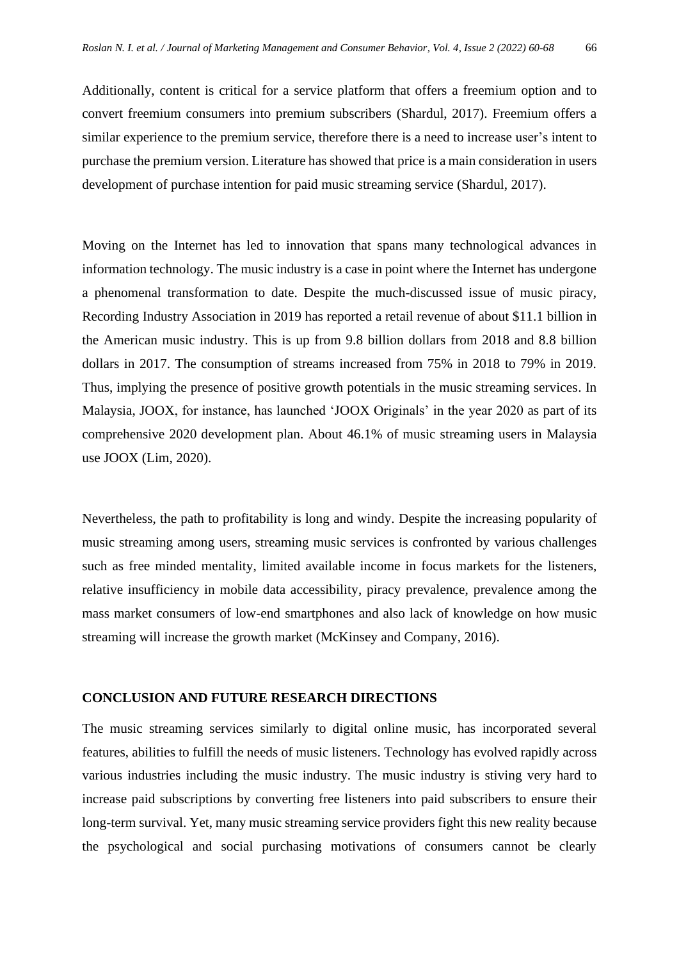Additionally, content is critical for a service platform that offers a freemium option and to convert freemium consumers into premium subscribers (Shardul, 2017). Freemium offers a similar experience to the premium service, therefore there is a need to increase user's intent to purchase the premium version. Literature has showed that price is a main consideration in users development of purchase intention for paid music streaming service (Shardul, 2017).

Moving on the Internet has led to innovation that spans many technological advances in information technology. The music industry is a case in point where the Internet has undergone a phenomenal transformation to date. Despite the much-discussed issue of music piracy, Recording Industry Association in 2019 has reported a retail revenue of about \$11.1 billion in the American music industry. This is up from 9.8 billion dollars from 2018 and 8.8 billion dollars in 2017. The consumption of streams increased from 75% in 2018 to 79% in 2019. Thus, implying the presence of positive growth potentials in the music streaming services. In Malaysia, JOOX, for instance, has launched 'JOOX Originals' in the year 2020 as part of its comprehensive 2020 development plan. About 46.1% of music streaming users in Malaysia use JOOX (Lim, 2020).

Nevertheless, the path to profitability is long and windy. Despite the increasing popularity of music streaming among users, streaming music services is confronted by various challenges such as free minded mentality, limited available income in focus markets for the listeners, relative insufficiency in mobile data accessibility, piracy prevalence, prevalence among the mass market consumers of low-end smartphones and also lack of knowledge on how music streaming will increase the growth market (McKinsey and Company, 2016).

#### **CONCLUSION AND FUTURE RESEARCH DIRECTIONS**

The music streaming services similarly to digital online music, has incorporated several features, abilities to fulfill the needs of music listeners. Technology has evolved rapidly across various industries including the music industry. The music industry is stiving very hard to increase paid subscriptions by converting free listeners into paid subscribers to ensure their long-term survival. Yet, many music streaming service providers fight this new reality because the psychological and social purchasing motivations of consumers cannot be clearly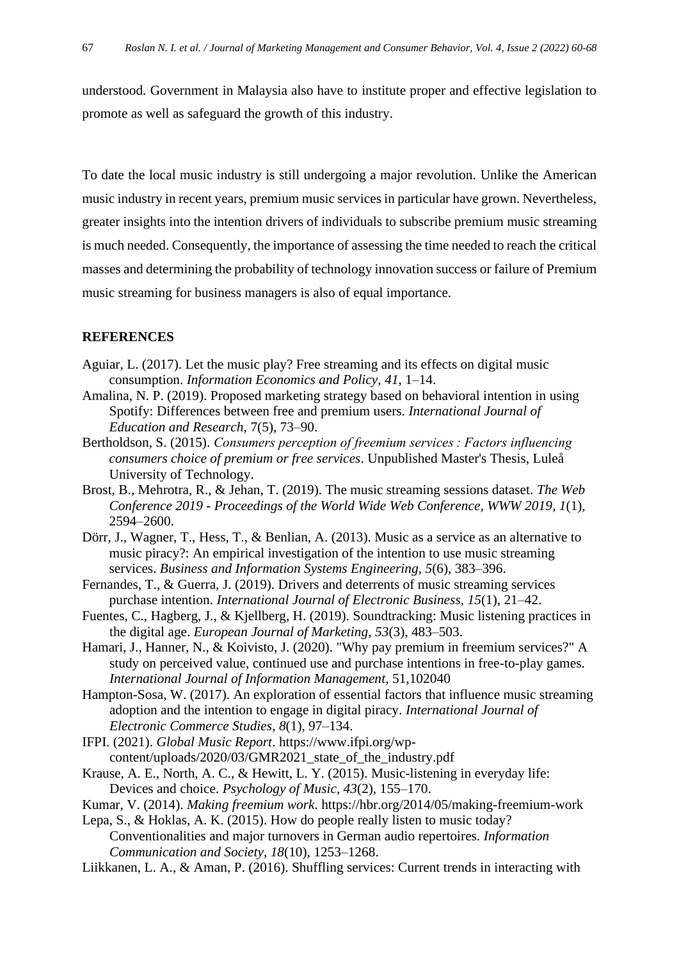understood. Government in Malaysia also have to institute proper and effective legislation to promote as well as safeguard the growth of this industry.

To date the local music industry is still undergoing a major revolution. Unlike the American music industry in recent years, premium music services in particular have grown. Nevertheless, greater insights into the intention drivers of individuals to subscribe premium music streaming is much needed. Consequently, the importance of assessing the time needed to reach the critical masses and determining the probability of technology innovation success or failure of Premium music streaming for business managers is also of equal importance.

## **REFERENCES**

- Aguiar, L. (2017). Let the music play? Free streaming and its effects on digital music consumption. *Information Economics and Policy*, *41*, 1–14.
- Amalina, N. P. (2019). Proposed marketing strategy based on behavioral intention in using Spotify: Differences between free and premium users. *International Journal of Education and Research*, 7(5), 73–90.
- Bertholdson, S. (2015). *Consumers perception of freemium services : Factors influencing consumers choice of premium or free services*. Unpublished Master's Thesis, Luleå University of Technology.
- Brost, B., Mehrotra, R., & Jehan, T. (2019). The music streaming sessions dataset. *The Web Conference 2019 - Proceedings of the World Wide Web Conference, WWW 2019*, *1*(1), 2594–2600.
- Dörr, J., Wagner, T., Hess, T., & Benlian, A. (2013). Music as a service as an alternative to music piracy?: An empirical investigation of the intention to use music streaming services. *Business and Information Systems Engineering*, *5*(6), 383–396.
- Fernandes, T., & Guerra, J. (2019). Drivers and deterrents of music streaming services purchase intention. *International Journal of Electronic Business*, *15*(1), 21–42.
- Fuentes, C., Hagberg, J., & Kjellberg, H. (2019). Soundtracking: Music listening practices in the digital age. *European Journal of Marketing*, *53*(3), 483–503.
- Hamari, J., Hanner, N., & Koivisto, J. (2020). "Why pay premium in freemium services?" A study on perceived value, continued use and purchase intentions in free-to-play games. *International Journal of Information Management*, 51,102040
- Hampton-Sosa, W. (2017). An exploration of essential factors that influence music streaming adoption and the intention to engage in digital piracy. *International Journal of Electronic Commerce Studies*, *8*(1), 97–134.
- IFPI. (2021). *Global Music Report*. https://www.ifpi.org/wpcontent/uploads/2020/03/GMR2021\_state\_of\_the\_industry.pdf
- Krause, A. E., North, A. C., & Hewitt, L. Y. (2015). Music-listening in everyday life: Devices and choice. *Psychology of Music*, *43*(2), 155–170.
- Kumar, V. (2014). *Making freemium work*. https://hbr.org/2014/05/making-freemium-work
- Lepa, S., & Hoklas, A. K. (2015). How do people really listen to music today? Conventionalities and major turnovers in German audio repertoires. *Information Communication and Society*, *18*(10), 1253–1268.
- Liikkanen, L. A., & Aman, P. (2016). Shuffling services: Current trends in interacting with